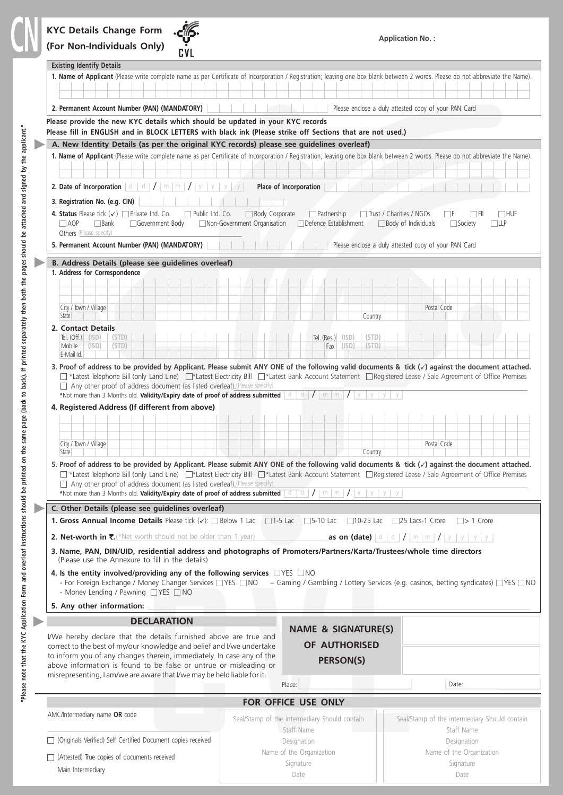

Date

| <b>Existing Identify Details</b>                                                                                                                                                                                                                                                                                                                                    |                                                                  |                                                             |                                                                                                                                                                                                                                                                                                                                            |  |
|---------------------------------------------------------------------------------------------------------------------------------------------------------------------------------------------------------------------------------------------------------------------------------------------------------------------------------------------------------------------|------------------------------------------------------------------|-------------------------------------------------------------|--------------------------------------------------------------------------------------------------------------------------------------------------------------------------------------------------------------------------------------------------------------------------------------------------------------------------------------------|--|
|                                                                                                                                                                                                                                                                                                                                                                     |                                                                  |                                                             | 1. Name of Applicant (Please write complete name as per Certificate of Incorporation / Registration; leaving one box blank between 2 words. Please do not abbreviate the Name).                                                                                                                                                            |  |
| 2. Permanent Account Number (PAN) (MANDATORY)                                                                                                                                                                                                                                                                                                                       |                                                                  |                                                             | Please enclose a duly attested copy of your PAN Card                                                                                                                                                                                                                                                                                       |  |
| Please provide the new KYC details which should be updated in your KYC records<br>Please fill in ENGLISH and in BLOCK LETTERS with black ink (Please strike off Sections that are not used.)                                                                                                                                                                        |                                                                  |                                                             |                                                                                                                                                                                                                                                                                                                                            |  |
| A. New Identity Details (as per the original KYC records) please see guidelines overleaf)                                                                                                                                                                                                                                                                           |                                                                  |                                                             |                                                                                                                                                                                                                                                                                                                                            |  |
| <b>2.</b> Date of Incorporation $ d   d  /  m   m  /  y $                                                                                                                                                                                                                                                                                                           | y<br>V                                                           | Place of Incorporation                                      | 1. Name of Applicant (Please write complete name as per Certificate of Incorporation / Registration; leaving one box blank between 2 words. Please do not abbreviate the Name).                                                                                                                                                            |  |
| 3. Registration No. (e.g. CIN)                                                                                                                                                                                                                                                                                                                                      |                                                                  |                                                             |                                                                                                                                                                                                                                                                                                                                            |  |
| 4. Status Please tick $(\checkmark)$ Private Ltd. Co.<br>$\Box$ AOP<br>$\Box$ Bank<br>Government Body<br>Others (Please specify)                                                                                                                                                                                                                                    | Public Ltd. Co.<br>Body Corporate<br>Non-Government Organisation | $\Box$ Partnership<br>Defence Establishment                 | $\Box$ Trust / Charities / NGOs<br>$\Box$ HUF<br>l IFI<br>l i Fil<br>$\Box$ Body of Individuals<br>$\Box$ llp<br>$\Box$ Society                                                                                                                                                                                                            |  |
| 5. Permanent Account Number (PAN) (MANDATORY)                                                                                                                                                                                                                                                                                                                       |                                                                  |                                                             | Please enclose a duly attested copy of your PAN Card                                                                                                                                                                                                                                                                                       |  |
| B. Address Details (please see guidelines overleaf)                                                                                                                                                                                                                                                                                                                 |                                                                  |                                                             |                                                                                                                                                                                                                                                                                                                                            |  |
| 1. Address for Correspondence                                                                                                                                                                                                                                                                                                                                       |                                                                  |                                                             |                                                                                                                                                                                                                                                                                                                                            |  |
| City / Town / Village                                                                                                                                                                                                                                                                                                                                               |                                                                  |                                                             | Postal Code                                                                                                                                                                                                                                                                                                                                |  |
| State                                                                                                                                                                                                                                                                                                                                                               |                                                                  | Country                                                     |                                                                                                                                                                                                                                                                                                                                            |  |
| 2. Contact Details<br>Tel. $(Off.)$ (ISD)<br>(STD)<br>(STD)<br>Mobile<br>(ISD)                                                                                                                                                                                                                                                                                      |                                                                  | Tel. $(Res.)$ $(ISD)$<br>(STD)<br>(ISD)<br>(STD)<br>Fax     |                                                                                                                                                                                                                                                                                                                                            |  |
| E-Mail Id.                                                                                                                                                                                                                                                                                                                                                          |                                                                  |                                                             | 3. Proof of address to be provided by Applicant. Please submit ANY ONE of the following valid documents & tick $(\checkmark)$ against the document attached.                                                                                                                                                                               |  |
| 4. Registered Address (If different from above)<br>City / Town / Village<br>State<br>□ Any other proof of address document (as listed overleaf).(Please specify)<br>*Not more than 3 Months old. Validity/Expiry date of proof of address submitted $\vert$ d $\vert$ d $\vert$ /                                                                                   |                                                                  | Country<br>$m \mid m \mid I \mid$                           | Postal Code<br>5. Proof of address to be provided by Applicant. Please submit ANY ONE of the following valid documents & tick $(\checkmark)$ against the document attached.<br>T *Latest Telephone Bill (only Land Line) I*Latest Electricity Bill IT*Latest Bank Account Statement I Registered Lease / Sale Agreement of Office Premises |  |
| C. Other Details (please see guidelines overleaf)                                                                                                                                                                                                                                                                                                                   |                                                                  |                                                             |                                                                                                                                                                                                                                                                                                                                            |  |
| <b>1. Gross Annual Income Details</b> Please tick $(\checkmark)$ : $\Box$ Below 1 Lac                                                                                                                                                                                                                                                                               |                                                                  | $\Box$ 1-5 Lac<br>$\Box$ 5-10 Lac<br>$\Box$ 10-25 Lac       | $\Box$ 25 Lacs-1 Crore<br>$\Box$ > 1 Crore                                                                                                                                                                                                                                                                                                 |  |
| 2. Net-worth in $\overline{\xi}$ . (*Net worth should not be older than 1 year)                                                                                                                                                                                                                                                                                     |                                                                  |                                                             | as on (date) $ d d  /  m m  /  y $ y   y   y                                                                                                                                                                                                                                                                                               |  |
| 3. Name, PAN, DIN/UID, residential address and photographs of Promoters/Partners/Karta/Trustees/whole time directors<br>(Please use the Annexure to fill in the details)                                                                                                                                                                                            |                                                                  |                                                             |                                                                                                                                                                                                                                                                                                                                            |  |
| 4. Is the entity involved/providing any of the following services $\Box$ YES $\Box$ NO<br>- For Foreign Exchange / Money Changer Services VES NO<br>- Money Lending / Pawning YES NO                                                                                                                                                                                |                                                                  |                                                             | - Gaming / Gambling / Lottery Services (e.g. casinos, betting syndicates) $\Box$ YES $\Box$ NO                                                                                                                                                                                                                                             |  |
| 5. Any other information:                                                                                                                                                                                                                                                                                                                                           |                                                                  |                                                             |                                                                                                                                                                                                                                                                                                                                            |  |
| <b>DECLARATION</b>                                                                                                                                                                                                                                                                                                                                                  |                                                                  | <b>NAME &amp; SIGNATURE(S)</b>                              |                                                                                                                                                                                                                                                                                                                                            |  |
| I/We hereby declare that the details furnished above are true and<br>correct to the best of my/our knowledge and belief and I/we undertake<br>to inform you of any changes therein, immediately. In case any of the<br>above information is found to be false or untrue or misleading or<br>misrepresenting, I am/we are aware that I/we may be held liable for it. |                                                                  | <b>OF AUTHORISED</b><br><b>PERSON(S)</b>                    |                                                                                                                                                                                                                                                                                                                                            |  |
|                                                                                                                                                                                                                                                                                                                                                                     |                                                                  | Place:                                                      | Date:                                                                                                                                                                                                                                                                                                                                      |  |
| FOR OFFICE USE ONLY                                                                                                                                                                                                                                                                                                                                                 |                                                                  |                                                             |                                                                                                                                                                                                                                                                                                                                            |  |
| AMC/Intermediary name OR code                                                                                                                                                                                                                                                                                                                                       |                                                                  | Seal/Stamp of the intermediary Should contain<br>Staff Name | Seal/Stamp of the intermediary Should contain<br>Staff Name                                                                                                                                                                                                                                                                                |  |
| □ (Originals Verified) Self Certified Document copies received                                                                                                                                                                                                                                                                                                      |                                                                  | Designation                                                 | Designation                                                                                                                                                                                                                                                                                                                                |  |
| $\Box$ (Attested) True copies of documents received                                                                                                                                                                                                                                                                                                                 |                                                                  | Name of the Organization                                    | Name of the Organization                                                                                                                                                                                                                                                                                                                   |  |
| Main Intermediary                                                                                                                                                                                                                                                                                                                                                   |                                                                  | Signature                                                   | Signature                                                                                                                                                                                                                                                                                                                                  |  |

Date